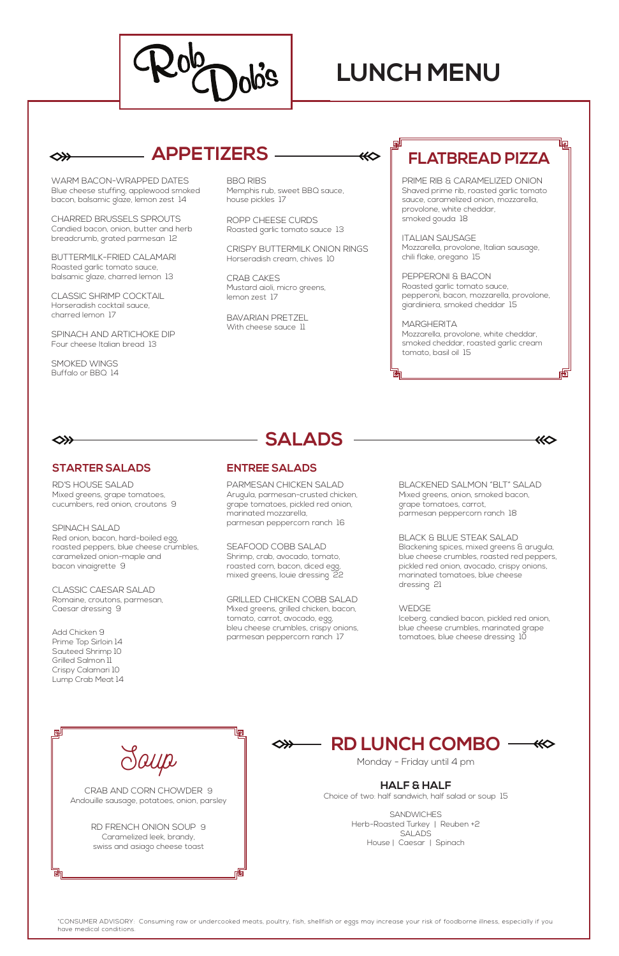WARM BACON-WRAPPED DATES Blue cheese stuffing, applewood smoked bacon, balsamic glaze, lemon zest 14

CHARRED BRUSSELS SPROUTS Candied bacon, onion, butter and herb breadcrumb, grated parmesan 12

BUTTERMILK-FRIED CALAMARI Roasted garlic tomato sauce, balsamic glaze, charred lemon 13

CLASSIC SHRIMP COCKTAIL Horseradish cocktail sauce, charred lemon 17

BAVARIAN PRETZEL With cheese sauce 11

SPINACH AND ARTICHOKE DIP Four cheese Italian bread 13

SMOKED WINGS Buffalo or BBQ 14

BBQ RIBS Memphis rub, sweet BBQ sauce, house pickles 17

ROPP CHEESE CURDS Roasted garlic tomato sauce 13

CRISPY BUTTERMILK ONION RINGS Horseradish cream, chives 10

> **MARGHERITA** Mozzarella, provolone, white cheddar, smoked cheddar, roasted garlic cream tomato, basil oil 15

#### 

◇≫

CRAB CAKES Mustard aioli, micro greens, lemon zest 17

PRIME RIB & CARAMELIZED ONION Shaved prime rib, roasted garlic tomato sauce, caramelized onion, mozzarella, provolone, white cheddar, smoked gouda 18

ITALIAN SAUSAGE Mozzarella, provolone, Italian sausage, chili flake, oregano 15

PEPPERONI & BACON Roasted garlic tomato sauce, pepperoni, bacon, mozzarella, provolone, giardiniera, smoked cheddar 15

## **APPETIZERS FLATBREAD PIZZA**

| Jaup                                                                                 |  |
|--------------------------------------------------------------------------------------|--|
| CRAB AND CORN CHOWDER 9<br>Andouille sausage, potatoes, onion, parsley               |  |
| RD FRENCH ONION SOUP 9<br>Caramelized leek, brandy,<br>swiss and asiago cheese toast |  |

#### **STARTER SALADS**

**SALADS**

RD'S HOUSE SALAD Mixed greens, grape tomatoes, cucumbers, red onion, croutons 9

> **SANDWICHES** Herb-Roasted Turkey | Reuben +2 SALADS House | Caesar | Spinach

#### **RD LUNCH COMBO** ⋘

SPINACH SALAD Red onion, bacon, hard-boiled egg, roasted peppers, blue cheese crumbles, caramelized onion-maple and bacon vinaigrette 9

CLASSIC CAESAR SALAD Romaine, croutons, parmesan, Caesar dressing 9

Add Chicken 9 Prime Top Sirloin 14 Sauteed Shrimp 10 Grilled Salmon 11 Crispy Calamari 10 Lump Crab Meat 14 PARMESAN CHICKEN SALAD Arugula, parmesan-crusted chicken, grape tomatoes, pickled red onion, marinated mozzarella, parmesan peppercorn ranch 16

SEAFOOD COBB SALAD Shrimp, crab, avocado, tomato, roasted corn, bacon, diced egg, mixed greens, louie dressing 22

GRILLED CHICKEN COBB SALAD

Mixed greens, grilled chicken, bacon, tomato, carrot, avocado, egg, bleu cheese crumbles, crispy onions, parmesan peppercorn ranch 17

BLACKENED SALMON "BLT" SALAD Mixed greens, onion, smoked bacon, grape tomatoes, carrot, parmesan peppercorn ranch 18

KÔ

BLACK & BLUE STEAK SALAD

Blackening spices, mixed greens & arugula, blue cheese crumbles, roasted red peppers, pickled red onion, avocado, crispy onions, marinated tomatoes, blue cheese dressing 21

#### WEDGE

Iceberg, candied bacon, pickled red onion, blue cheese crumbles, marinated grape tomatoes, blue cheese dressing 10

### **ENTREE SALADS**

\*CONSUMER ADVISORY: Consuming raw or undercooked meats, poultry, fish, shellfish or eggs may increase your risk of foodborne illness, especially if you have medical conditions.

Monday - Friday until 4 pm

#### **HALF & HALF**

Choice of two: half sandwich, half salad or soup 15



# **LUNCH MENU**